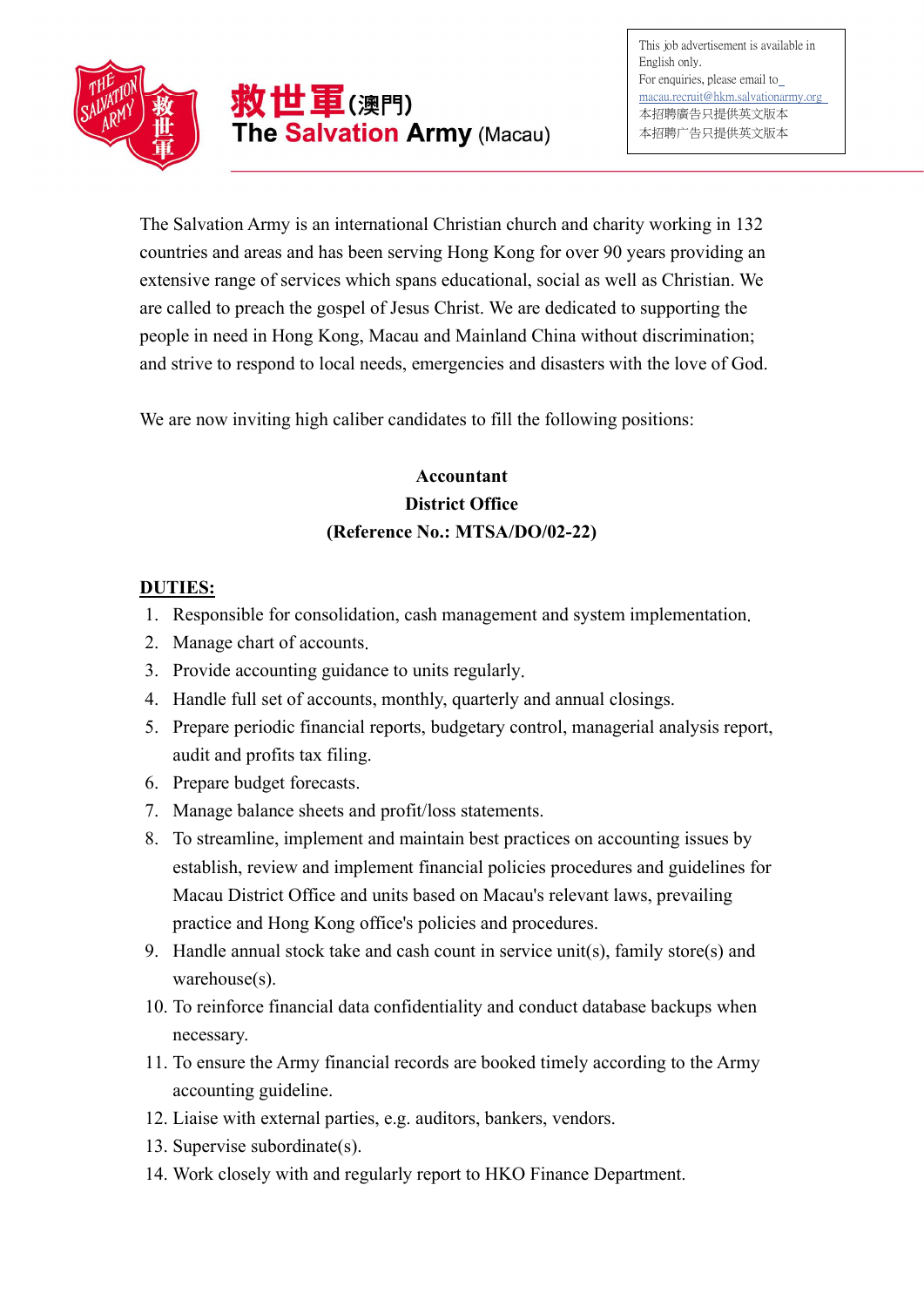

The Salvation Army is an international Christian church and charity working in 132 countries and areas and has been serving Hong Kong for over 90 years providing an extensive range of services which spans educational, social as well as Christian. We are called to preach the gospel of Jesus Christ. We are dedicated to supporting the people in need in Hong Kong, Macau and Mainland China without discrimination; and strive to respond to local needs, emergencies and disasters with the love of God.

We are now inviting high caliber candidates to fill the following positions:

## Accountant District Office (Reference No.: MTSA/DO/02-22)

## DUTIES:

- 1. Responsible for consolidation, cash management and system implementation.
- 2. Manage chart of accounts.
- 3. Provide accounting guidance to units regularly.
- 4. Handle full set of accounts, monthly, quarterly and annual closings.
- 5. Prepare periodic financial reports, budgetary control, managerial analysis report, audit and profits tax filing.
- 6. Prepare budget forecasts.
- 7. Manage balance sheets and profit/loss statements.
- 8. To streamline, implement and maintain best practices on accounting issues by establish, review and implement financial policies procedures and guidelines for Macau District Office and units based on Macau's relevant laws, prevailing practice and Hong Kong office's policies and procedures.
- 9. Handle annual stock take and cash count in service unit(s), family store(s) and warehouse(s).
- 10. To reinforce financial data confidentiality and conduct database backups when necessary.
- 11. To ensure the Army financial records are booked timely according to the Army accounting guideline.
- 12. Liaise with external parties, e.g. auditors, bankers, vendors.
- 13. Supervise subordinate(s).
- 14. Work closely with and regularly report to HKO Finance Department.